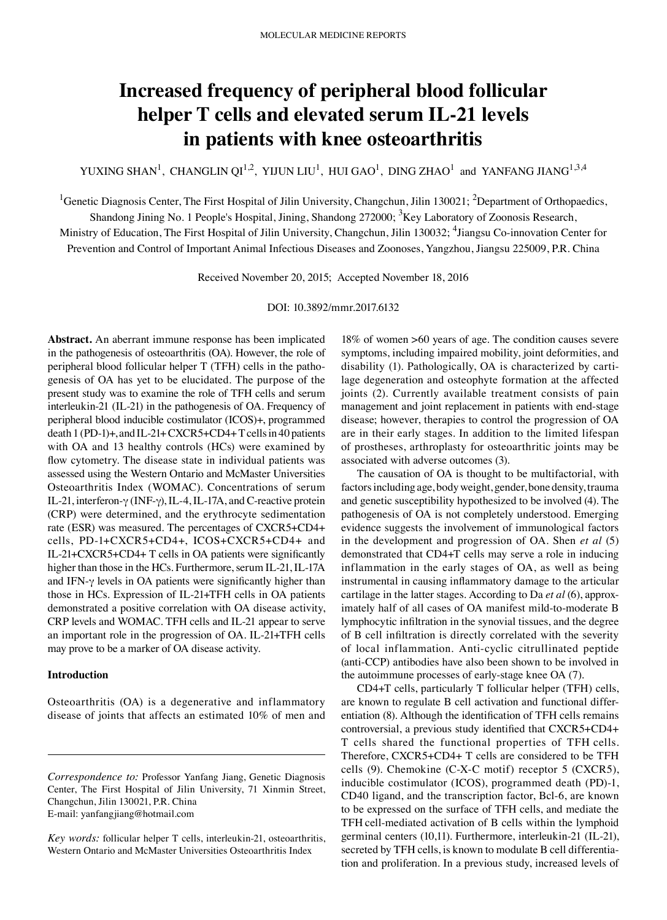# **Increased frequency of peripheral blood follicular helper T cells and elevated serum IL‑21 levels in patients with knee osteoarthritis**

YUXING SHAN<sup>1</sup>, CHANGLIN QI<sup>1,2</sup>, YIJUN LIU<sup>1</sup>, HUI GAO<sup>1</sup>, DING ZHAO<sup>1</sup> and YANFANG JIANG<sup>1,3,4</sup>

<sup>1</sup>Genetic Diagnosis Center, The First Hospital of Jilin University, Changchun, Jilin 130021; <sup>2</sup>Department of Orthopaedics,

Shandong Jining No. 1 People's Hospital, Jining, Shandong 272000; <sup>3</sup>Key Laboratory of Zoonosis Research,

Ministry of Education, The First Hospital of Jilin University, Changchun, Jilin 130032; <sup>4</sup>Jiangsu Co-innovation Center for Prevention and Control of Important Animal Infectious Diseases and Zoonoses, Yangzhou, Jiangsu 225009, P.R. China

Received November 20, 2015; Accepted November 18, 2016

DOI: 10.3892/mmr.2017.6132

**Abstract.** An aberrant immune response has been implicated in the pathogenesis of osteoarthritis (OA). However, the role of peripheral blood follicular helper T (TFH) cells in the pathogenesis of OA has yet to be elucidated. The purpose of the present study was to examine the role of TFH cells and serum interleukin-21 (IL-21) in the pathogenesis of OA. Frequency of peripheral blood inducible costimulator (ICOS)+, programmed death 1 (PD-1)+, and IL-21+ CXCR5+CD4+ T cells in 40 patients with OA and 13 healthy controls (HCs) were examined by flow cytometry. The disease state in individual patients was assessed using the Western Ontario and McMaster Universities Osteoarthritis Index (WOMAC). Concentrations of serum IL‑21, interferon‑γ (INF‑γ), IL‑4, IL‑17A, and C‑reactive protein (CRP) were determined, and the erythrocyte sedimentation rate (ESR) was measured. The percentages of CXCR5+CD4+ cells, PD‑1+CXCR5+CD4+, ICOS+CXCR5+CD4+ and IL‑21+CXCR5+CD4+ T cells in OA patients were significantly higher than those in the HCs. Furthermore, serum IL-21, IL-17A and IFN- $\gamma$  levels in OA patients were significantly higher than those in HCs. Expression of IL‑21+TFH cells in OA patients demonstrated a positive correlation with OA disease activity, CRP levels and WOMAC. TFH cells and IL‑21 appear to serve an important role in the progression of OA. IL‑21+TFH cells may prove to be a marker of OA disease activity.

## **Introduction**

Osteoarthritis (OA) is a degenerative and inflammatory disease of joints that affects an estimated 10% of men and

18% of women >60 years of age. The condition causes severe symptoms, including impaired mobility, joint deformities, and disability (1). Pathologically, OA is characterized by cartilage degeneration and osteophyte formation at the affected joints (2). Currently available treatment consists of pain management and joint replacement in patients with end‑stage disease; however, therapies to control the progression of OA are in their early stages. In addition to the limited lifespan of prostheses, arthroplasty for osteoarthritic joints may be associated with adverse outcomes (3).

The causation of OA is thought to be multifactorial, with factors including age, body weight, gender, bone density, trauma and genetic susceptibility hypothesized to be involved (4). The pathogenesis of OA is not completely understood. Emerging evidence suggests the involvement of immunological factors in the development and progression of OA. Shen *et al* (5) demonstrated that CD4+T cells may serve a role in inducing inflammation in the early stages of OA, as well as being instrumental in causing inflammatory damage to the articular cartilage in the latter stages. According to Da *et al* (6), approximately half of all cases of OA manifest mild-to-moderate B lymphocytic infiltration in the synovial tissues, and the degree of B cell infiltration is directly correlated with the severity of local inflammation. Anti‑cyclic citrullinated peptide (anti‑CCP) antibodies have also been shown to be involved in the autoimmune processes of early-stage knee OA (7).

CD4+T cells, particularly T follicular helper (TFH) cells, are known to regulate B cell activation and functional differentiation (8). Although the identification of TFH cells remains controversial, a previous study identified that CXCR5+CD4+ T cells shared the functional properties of TFH cells. Therefore, CXCR5+CD4+ T cells are considered to be TFH cells (9). Chemokine (C‑X‑C motif) receptor 5 (CXCR5), inducible costimulator (ICOS), programmed death (PD)-1, CD40 ligand, and the transcription factor, Bcl‑6, are known to be expressed on the surface of TFH cells, and mediate the TFH cell‑mediated activation of B cells within the lymphoid germinal centers (10,11). Furthermore, interleukin-21 (IL-21), secreted by TFH cells, is known to modulate B cell differentiation and proliferation. In a previous study, increased levels of

*Correspondence to:* Professor Yanfang Jiang, Genetic Diagnosis Center, The First Hospital of Jilin University, 71 Xinmin Street, Changchun, Jilin 130021, P.R. China E‑mail: yanfangjiang@hotmail.com

*Key words:* follicular helper T cells, interleukin‑21, osteoarthritis, Western Ontario and McMaster Universities Osteoarthritis Index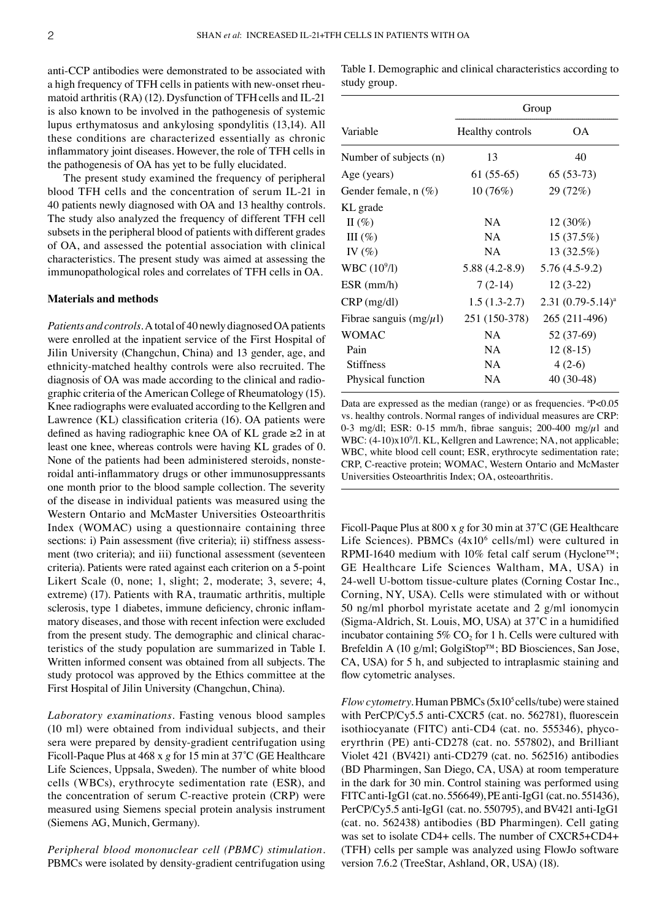anti‑CCP antibodies were demonstrated to be associated with a high frequency of TFH cells in patients with new-onset rheumatoid arthritis  $(RA)$  (12). Dysfunction of TFH cells and IL-21 is also known to be involved in the pathogenesis of systemic lupus erthymatosus and ankylosing spondylitis (13,14). All these conditions are characterized essentially as chronic inflammatory joint diseases. However, the role of TFH cells in the pathogenesis of OA has yet to be fully elucidated.

The present study examined the frequency of peripheral blood TFH cells and the concentration of serum IL‑21 in 40 patients newly diagnosed with OA and 13 healthy controls. The study also analyzed the frequency of different TFH cell subsets in the peripheral blood of patients with different grades of OA, and assessed the potential association with clinical characteristics. The present study was aimed at assessing the immunopathological roles and correlates of TFH cells in OA.

#### **Materials and methods**

*Patients and controls.* A total of 40 newly diagnosed OA patients were enrolled at the inpatient service of the First Hospital of Jilin University (Changchun, China) and 13 gender, age, and ethnicity‑matched healthy controls were also recruited. The diagnosis of OA was made according to the clinical and radiographic criteria of the American College of Rheumatology (15). Knee radiographs were evaluated according to the Kellgren and Lawrence (KL) classification criteria (16). OA patients were defined as having radiographic knee OA of KL grade ≥2 in at least one knee, whereas controls were having KL grades of 0. None of the patients had been administered steroids, nonsteroidal anti-inflammatory drugs or other immunosuppressants one month prior to the blood sample collection. The severity of the disease in individual patients was measured using the Western Ontario and McMaster Universities Osteoarthritis Index (WOMAC) using a questionnaire containing three sections: i) Pain assessment (five criteria); ii) stiffness assessment (two criteria); and iii) functional assessment (seventeen criteria). Patients were rated against each criterion on a 5‑point Likert Scale  $(0, \text{none}; 1, \text{slight}; 2, \text{moderate}; 3, \text{severe}; 4, \text{new})$ extreme) (17). Patients with RA, traumatic arthritis, multiple sclerosis, type 1 diabetes, immune deficiency, chronic inflammatory diseases, and those with recent infection were excluded from the present study. The demographic and clinical characteristics of the study population are summarized in Table I. Written informed consent was obtained from all subjects. The study protocol was approved by the Ethics committee at the First Hospital of Jilin University (Changchun, China).

*Laboratory examinations.* Fasting venous blood samples (10 ml) were obtained from individual subjects, and their sera were prepared by density‑gradient centrifugation using Ficoll‑Paque Plus at 468 x *g* for 15 min at 37˚C (GE Healthcare Life Sciences, Uppsala, Sweden). The number of white blood cells (WBCs), erythrocyte sedimentation rate (ESR), and the concentration of serum C‑reactive protein (CRP) were measured using Siemens special protein analysis instrument (Siemens AG, Munich, Germany).

*Peripheral blood mononuclear cell (PBMC) stimulation.*  PBMCs were isolated by density-gradient centrifugation using Table I. Demographic and clinical characteristics according to study group.

| Variable                     | Group            |                     |
|------------------------------|------------------|---------------------|
|                              | Healthy controls | ОA                  |
| Number of subjects (n)       | 13               | 40                  |
| Age (years)                  | $61(55-65)$      | $65(53-73)$         |
| Gender female, $n(\%)$       | 10(76%)          | 29 (72%)            |
| KL grade                     |                  |                     |
| II $(\% )$                   | <b>NA</b>        | 12 (30%)            |
| III(%)                       | NA               | 15(37.5%)           |
| IV $(\%)$                    | <b>NA</b>        | 13(32.5%)           |
| WBC (10 <sup>9</sup> /l)     | $5.88(4.2-8.9)$  | 5.76 (4.5-9.2)      |
| ESR (mm/h)                   | $7(2-14)$        | $12(3-22)$          |
| $CRP$ (mg/dl)                | $1.5(1.3-2.7)$   | $2.31(0.79-5.14)^a$ |
| Fibrae sanguis (mg/ $\mu$ l) | 251 (150-378)    | 265 (211-496)       |
| <b>WOMAC</b>                 | NΑ               | 52 (37-69)          |
| Pain                         | NA               | $12(8-15)$          |
| <b>Stiffness</b>             | NA               | $4(2-6)$            |
| Physical function            | NA               | 40 (30-48)          |

Data are expressed as the median (range) or as frequencies. <sup>a</sup>P<0.05 vs. healthy controls. Normal ranges of individual measures are CRP: 0-3 mg/dl; ESR: 0-15 mm/h, fibrae sanguis; 200-400 mg/ $\mu$ l and WBC:  $(4-10)x10<sup>9</sup>/l$ . KL, Kellgren and Lawrence; NA, not applicable; WBC, white blood cell count; ESR, erythrocyte sedimentation rate; CRP, C‑reactive protein; WOMAC, Western Ontario and McMaster Universities Osteoarthritis Index; OA, osteoarthritis.

Ficoll-Paque Plus at 800 x *g* for 30 min at 37°C (GE Healthcare Life Sciences). PBMCs  $(4x10^6 \text{ cells/ml})$  were cultured in RPMI-1640 medium with 10% fetal calf serum (Hyclone<sup>™</sup>; GE Healthcare Life Sciences Waltham, MA, USA) in 24‑well U‑bottom tissue‑culture plates (Corning Costar Inc., Corning, NY, USA). Cells were stimulated with or without 50 ng/ml phorbol myristate acetate and 2 g/ml ionomycin (Sigma‑Aldrich, St. Louis, MO, USA) at 37˚C in a humidified incubator containing  $5\%$  CO<sub>2</sub> for 1 h. Cells were cultured with Brefeldin A (10 g/ml; GolgiStop™; BD Biosciences, San Jose, CA, USA) for 5 h, and subjected to intraplasmic staining and flow cytometric analyses.

*Flow cytometry.* Human PBMCs (5x10<sup>5</sup> cells/tube) were stained with PerCP/Cy5.5 anti-CXCR5 (cat. no. 562781), fluorescein isothiocyanate (FITC) anti-CD4 (cat. no. 555346), phycoeryrthrin (PE) anti‑CD278 (cat. no. 557802), and Brilliant Violet 421 (BV421) anti‑CD279 (cat. no. 562516) antibodies (BD Pharmingen, San Diego, CA, USA) at room temperature in the dark for 30 min. Control staining was performed using FITC anti‑IgG1 (cat. no. 556649), PE anti‑IgG1 (cat. no. 551436), PerCP/Cy5.5 anti-IgG1 (cat. no. 550795), and BV421 anti-IgG1 (cat. no. 562438) antibodies (BD Pharmingen). Cell gating was set to isolate CD4+ cells. The number of CXCR5+CD4+ (TFH) cells per sample was analyzed using FlowJo software version 7.6.2 (TreeStar, Ashland, OR, USA) (18).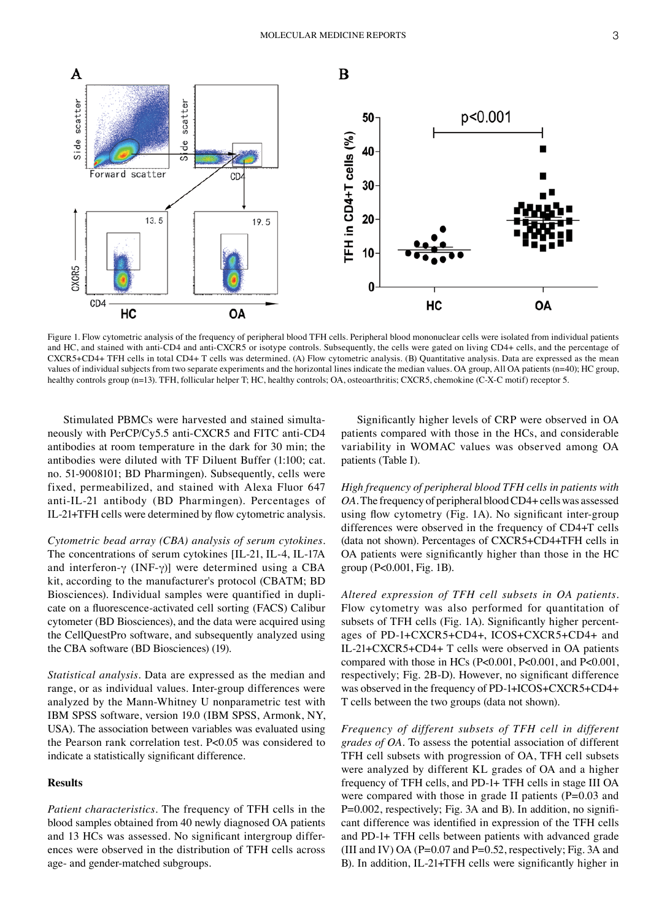

Figure 1. Flow cytometric analysis of the frequency of peripheral blood TFH cells. Peripheral blood mononuclear cells were isolated from individual patients and HC, and stained with anti-CD4 and anti-CXCR5 or isotype controls. Subsequently, the cells were gated on living CD4+ cells, and the percentage of CXCR5+CD4+ TFH cells in total CD4+ T cells was determined. (A) Flow cytometric analysis. (B) Quantitative analysis. Data are expressed as the mean values of individual subjects from two separate experiments and the horizontal lines indicate the median values. OA group, All OA patients (n=40); HC group, healthy controls group (n=13). TFH, follicular helper T; HC, healthy controls; OA, osteoarthritis; CXCR5, chemokine (C-X-C motif) receptor 5.

Stimulated PBMCs were harvested and stained simultaneously with PerCP/Cy5.5 anti‑CXCR5 and FITC anti‑CD4 antibodies at room temperature in the dark for 30 min; the antibodies were diluted with TF Diluent Buffer (1:100; cat. no. 51‑9008101; BD Pharmingen). Subsequently, cells were fixed, permeabilized, and stained with Alexa Fluor 647 anti‑IL‑21 antibody (BD Pharmingen). Percentages of IL‑21+TFH cells were determined by flow cytometric analysis.

*Cytometric bead array (CBA) analysis of serum cytokines.*  The concentrations of serum cytokines [IL-21, IL-4, IL-17A] and interferon- $\gamma$  (INF- $\gamma$ )] were determined using a CBA kit, according to the manufacturer's protocol (CBATM; BD Biosciences). Individual samples were quantified in duplicate on a fluorescence‑activated cell sorting (FACS) Calibur cytometer (BD Biosciences), and the data were acquired using the CellQuestPro software, and subsequently analyzed using the CBA software (BD Biosciences) (19).

*Statistical analysis.* Data are expressed as the median and range, or as individual values. Inter‑group differences were analyzed by the Mann‑Whitney U nonparametric test with IBM SPSS software, version 19.0 (IBM SPSS, Armonk, NY, USA). The association between variables was evaluated using the Pearson rank correlation test. P<0.05 was considered to indicate a statistically significant difference.

#### **Results**

*Patient characteristics.* The frequency of TFH cells in the blood samples obtained from 40 newly diagnosed OA patients and 13 HCs was assessed. No significant intergroup differences were observed in the distribution of TFH cells across age‑ and gender‑matched subgroups.

Significantly higher levels of CRP were observed in OA patients compared with those in the HCs, and considerable variability in WOMAC values was observed among OA patients (Table I).

*High frequency of peripheral blood TFH cells in patients with OA.* The frequency of peripheral blood CD4+ cells was assessed using flow cytometry (Fig. 1A). No significant inter-group differences were observed in the frequency of CD4+T cells (data not shown). Percentages of CXCR5+CD4+TFH cells in OA patients were significantly higher than those in the HC group (P<0.001, Fig. 1B).

*Altered expression of TFH cell subsets in OA patients.*  Flow cytometry was also performed for quantitation of subsets of TFH cells (Fig. 1A). Significantly higher percentages of PD‑1+CXCR5+CD4+, ICOS+CXCR5+CD4+ and IL‑21+CXCR5+CD4+ T cells were observed in OA patients compared with those in HCs (P<0.001, P<0.001, and P<0.001, respectively; Fig. 2B‑D). However, no significant difference was observed in the frequency of PD-1+ICOS+CXCR5+CD4+ T cells between the two groups (data not shown).

*Frequency of different subsets of TFH cell in different grades of OA.* To assess the potential association of different TFH cell subsets with progression of OA, TFH cell subsets were analyzed by different KL grades of OA and a higher frequency of TFH cells, and PD‑1+ TFH cells in stage III OA were compared with those in grade II patients  $(P=0.03$  and P=0.002, respectively; Fig. 3A and B). In addition, no significant difference was identified in expression of the TFH cells and PD‑1+ TFH cells between patients with advanced grade (III and IV) OA (P=0.07 and P=0.52, respectively; Fig. 3A and B). In addition, IL‑21+TFH cells were significantly higher in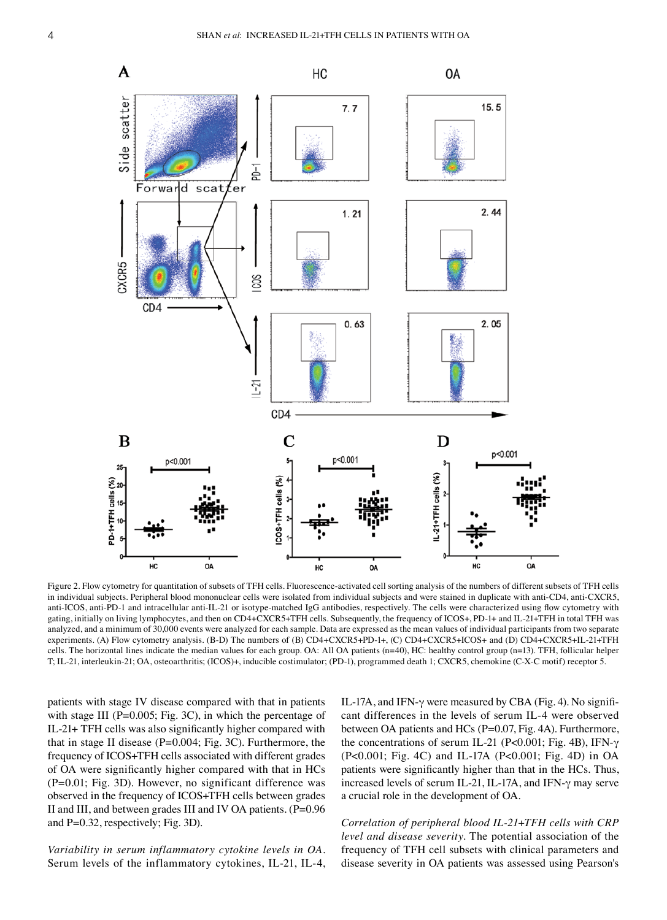

Figure 2. Flow cytometry for quantitation of subsets of TFH cells. Fluorescence-activated cell sorting analysis of the numbers of different subsets of TFH cells in individual subjects. Peripheral blood mononuclear cells were isolated from individual subjects and were stained in duplicate with anti-CD4, anti-CXCR5, anti-ICOS, anti-PD-1 and intracellular anti-IL-21 or isotype-matched IgG antibodies, respectively. The cells were characterized using flow cytometry with gating, initially on living lymphocytes, and then on CD4+CXCR5+TFH cells. Subsequently, the frequency of ICOS+, PD-1+ and IL-21+TFH in total TFH was analyzed, and a minimum of 30,000 events were analyzed for each sample. Data are expressed as the mean values of individual participants from two separate experiments. (A) Flow cytometry analysis. (B-D) The numbers of (B) CD4+CXCR5+PD-1+, (C) CD4+CXCR5+ICOS+ and (D) CD4+CXCR5+IL-21+TFH cells. The horizontal lines indicate the median values for each group. OA: All OA patients (n=40), HC: healthy control group (n=13). TFH, follicular helper T; IL‑21, interleukin‑21; OA, osteoarthritis; (ICOS)+, inducible costimulator; (PD‑1), programmed death 1; CXCR5, chemokine (C‑X‑C motif) receptor 5.

patients with stage IV disease compared with that in patients with stage III (P=0.005; Fig. 3C), in which the percentage of IL‑21+ TFH cells was also significantly higher compared with that in stage II disease (P=0.004; Fig. 3C). Furthermore, the frequency of ICOS+TFH cells associated with different grades of OA were significantly higher compared with that in HCs (P=0.01; Fig. 3D). However, no significant difference was observed in the frequency of ICOS+TFH cells between grades II and III, and between grades III and IV OA patients. (P=0.96 and P=0.32, respectively; Fig. 3D).

*Variability in serum inflammatory cytokine levels in OA.*  Serum levels of the inflammatory cytokines, IL‑21, IL‑4, IL-17A, and IFN- $\gamma$  were measured by CBA (Fig. 4). No significant differences in the levels of serum IL‑4 were observed between OA patients and HCs (P=0.07, Fig. 4A). Furthermore, the concentrations of serum IL‑21 (P<0.001; Fig. 4B), IFN‑γ (P<0.001; Fig. 4C) and IL‑17A (P<0.001; Fig. 4D) in OA patients were significantly higher than that in the HCs. Thus, increased levels of serum IL‑21, IL‑17A, and IFN‑γ may serve a crucial role in the development of OA.

*Correlation of peripheral blood IL‑21+TFH cells with CRP level and disease severity.* The potential association of the frequency of TFH cell subsets with clinical parameters and disease severity in OA patients was assessed using Pearson's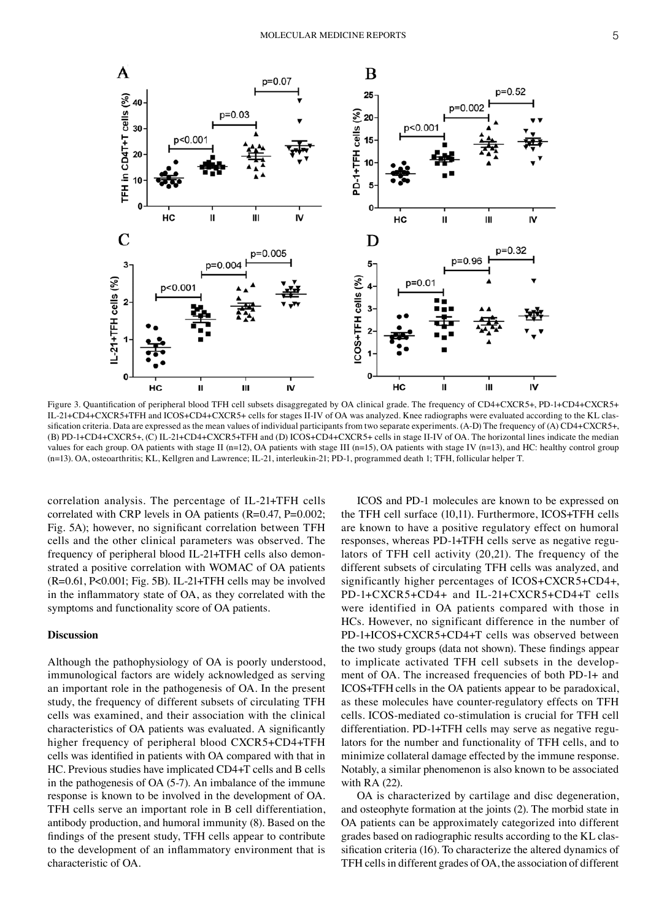

Figure 3. Quantification of peripheral blood TFH cell subsets disaggregated by OA clinical grade. The frequency of CD4+CXCR5+, PD-1+CD4+CXCR5+ IL‑21+CD4+CXCR5+TFH and ICOS+CD4+CXCR5+ cells for stages II‑IV of OA was analyzed. Knee radiographs were evaluated according to the KL clas‑ sification criteria. Data are expressed as the mean values of individual participants from two separate experiments. (A-D) The frequency of (A) CD4+CXCR5+, (B) PD‑1+CD4+CXCR5+, (C) IL‑21+CD4+CXCR5+TFH and (D) ICOS+CD4+CXCR5+ cells in stage II‑IV of OA. The horizontal lines indicate the median values for each group. OA patients with stage II (n=12), OA patients with stage III (n=15), OA patients with stage IV (n=13), and HC: healthy control group (n=13). OA, osteoarthritis; KL, Kellgren and Lawrence; IL‑21, interleukin‑21; PD‑1, programmed death 1; TFH, follicular helper T.

correlation analysis. The percentage of IL‑21+TFH cells correlated with CRP levels in OA patients (R=0.47, P=0.002; Fig. 5A); however, no significant correlation between TFH cells and the other clinical parameters was observed. The frequency of peripheral blood IL-21+TFH cells also demonstrated a positive correlation with WOMAC of OA patients (R=0.61, P<0.001; Fig. 5B). IL‑21+TFH cells may be involved in the inflammatory state of OA, as they correlated with the symptoms and functionality score of OA patients.

### **Discussion**

Although the pathophysiology of OA is poorly understood, immunological factors are widely acknowledged as serving an important role in the pathogenesis of OA. In the present study, the frequency of different subsets of circulating TFH cells was examined, and their association with the clinical characteristics of OA patients was evaluated. A significantly higher frequency of peripheral blood CXCR5+CD4+TFH cells was identified in patients with OA compared with that in HC. Previous studies have implicated CD4+T cells and B cells in the pathogenesis of OA (5‑7). An imbalance of the immune response is known to be involved in the development of OA. TFH cells serve an important role in B cell differentiation, antibody production, and humoral immunity (8). Based on the findings of the present study, TFH cells appear to contribute to the development of an inflammatory environment that is characteristic of OA.

ICOS and PD‑1 molecules are known to be expressed on the TFH cell surface (10,11). Furthermore, ICOS+TFH cells are known to have a positive regulatory effect on humoral responses, whereas PD-1+TFH cells serve as negative regulators of TFH cell activity (20,21). The frequency of the different subsets of circulating TFH cells was analyzed, and significantly higher percentages of ICOS+CXCR5+CD4+, PD‑1+CXCR5+CD4+ and IL‑21+CXCR5+CD4+T cells were identified in OA patients compared with those in HCs. However, no significant difference in the number of PD‑1+ICOS+CXCR5+CD4+T cells was observed between the two study groups (data not shown). These findings appear to implicate activated TFH cell subsets in the development of OA. The increased frequencies of both PD‑1+ and ICOS+TFH cells in the OA patients appear to be paradoxical, as these molecules have counter‑regulatory effects on TFH cells. ICOS‑mediated co‑stimulation is crucial for TFH cell differentiation. PD-1+TFH cells may serve as negative regulators for the number and functionality of TFH cells, and to minimize collateral damage effected by the immune response. Notably, a similar phenomenon is also known to be associated with RA (22).

OA is characterized by cartilage and disc degeneration, and osteophyte formation at the joints (2). The morbid state in OA patients can be approximately categorized into different grades based on radiographic results according to the KL classification criteria (16). To characterize the altered dynamics of TFH cells in different grades of OA, the association of different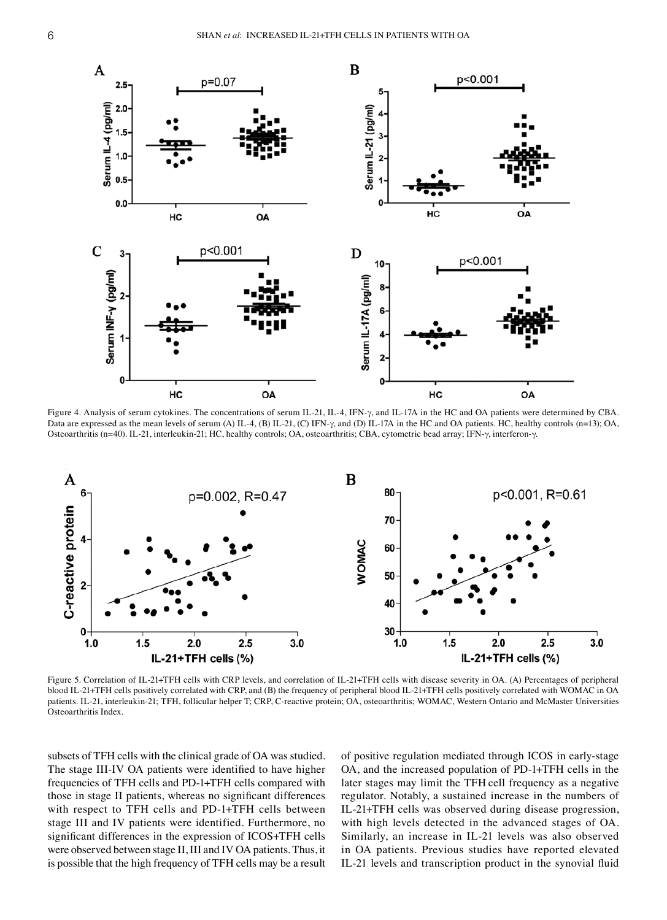

Figure 4. Analysis of serum cytokines. The concentrations of serum IL‑21, IL‑4, IFN‑γ, and IL‑17A in the HC and OA patients were determined by CBA. Data are expressed as the mean levels of serum (A) IL‑4, (B) IL‑21, (C) IFN‑γ, and (D) IL‑17A in the HC and OA patients. HC, healthy controls (n=13); OA, Osteoarthritis (n=40). IL‑21, interleukin‑21; HC, healthy controls; OA, osteoarthritis; CBA, cytometric bead array; IFN‑γ, interferon‑γ.



Figure 5. Correlation of IL-21+TFH cells with CRP levels, and correlation of IL-21+TFH cells with disease severity in OA. (A) Percentages of peripheral blood IL‑21+TFH cells positively correlated with CRP, and (B) the frequency of peripheral blood IL‑21+TFH cells positively correlated with WOMAC in OA patients. IL-21, interleukin-21; TFH, follicular helper T; CRP, C-reactive protein; OA, osteoarthritis; WOMAC, Western Ontario and McMaster Universities Osteoarthritis Index.

subsets of TFH cells with the clinical grade of OA was studied. The stage III‑IV OA patients were identified to have higher frequencies of TFH cells and PD‑1+TFH cells compared with those in stage II patients, whereas no significant differences with respect to TFH cells and PD-1+TFH cells between stage III and IV patients were identified. Furthermore, no significant differences in the expression of ICOS+TFH cells were observed between stage II, III and IV OA patients. Thus, it is possible that the high frequency of TFH cells may be a result of positive regulation mediated through ICOS in early‑stage OA, and the increased population of PD‑1+TFH cells in the later stages may limit the TFH cell frequency as a negative regulator. Notably, a sustained increase in the numbers of IL‑21+TFH cells was observed during disease progression, with high levels detected in the advanced stages of OA. Similarly, an increase in IL‑21 levels was also observed in OA patients. Previous studies have reported elevated IL‑21 levels and transcription product in the synovial fluid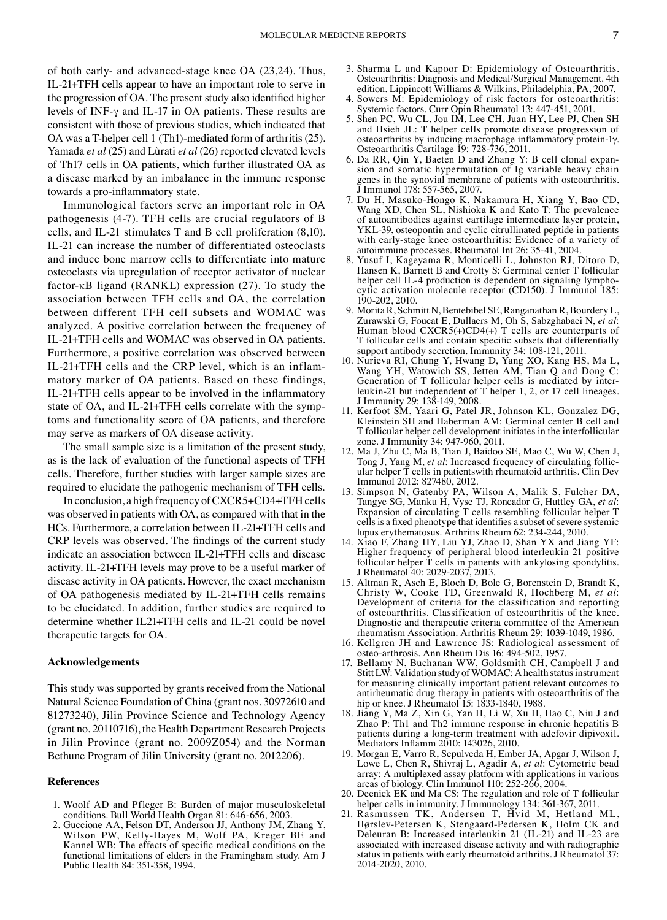of both early‑ and advanced‑stage knee OA (23,24). Thus, IL‑21+TFH cells appear to have an important role to serve in the progression of OA. The present study also identified higher levels of INF‑γ and IL‑17 in OA patients. These results are consistent with those of previous studies, which indicated that OA was a T‑helper cell 1 (Th1)‑mediated form of arthritis (25). Yamada *et al* (25) and Lùrati *et al* (26) reported elevated levels of Th17 cells in OA patients, which further illustrated OA as a disease marked by an imbalance in the immune response towards a pro‑inflammatory state.

Immunological factors serve an important role in OA pathogenesis (4‑7). TFH cells are crucial regulators of B cells, and IL‑21 stimulates T and B cell proliferation (8,10). IL‑21 can increase the number of differentiated osteoclasts and induce bone marrow cells to differentiate into mature osteoclasts via upregulation of receptor activator of nuclear factor- $\kappa$ B ligand (RANKL) expression (27). To study the association between TFH cells and OA, the correlation between different TFH cell subsets and WOMAC was analyzed. A positive correlation between the frequency of IL‑21+TFH cells and WOMAC was observed in OA patients. Furthermore, a positive correlation was observed between IL‑21+TFH cells and the CRP level, which is an inflam‑ matory marker of OA patients. Based on these findings, IL‑21+TFH cells appear to be involved in the inflammatory state of OA, and IL-21+TFH cells correlate with the symptoms and functionality score of OA patients, and therefore may serve as markers of OA disease activity.

The small sample size is a limitation of the present study, as is the lack of evaluation of the functional aspects of TFH cells. Therefore, further studies with larger sample sizes are required to elucidate the pathogenic mechanism of TFH cells.

In conclusion, a high frequency of CXCR5+CD4+TFH cells was observed in patients with OA, as compared with that in the HCs. Furthermore, a correlation between IL‑21+TFH cells and CRP levels was observed. The findings of the current study indicate an association between IL‑21+TFH cells and disease activity. IL‑21+TFH levels may prove to be a useful marker of disease activity in OA patients. However, the exact mechanism of OA pathogenesis mediated by IL‑21+TFH cells remains to be elucidated. In addition, further studies are required to determine whether IL21+TFH cells and IL‑21 could be novel therapeutic targets for OA.

#### **Acknowledgements**

This study was supported by grants received from the National Natural Science Foundation of China (grant nos. 30972610 and 81273240), Jilin Province Science and Technology Agency (grant no. 20110716), the Health Department Research Projects in Jilin Province (grant no. 2009Z054) and the Norman Bethune Program of Jilin University (grant no. 2012206).

#### **References**

- 1. Woolf AD and Pfleger B: Burden of major musculoskeletal conditions. Bull World Health Organ 81: 646‑656, 2003.
- 2. Guccione AA, Felson DT, Anderson JJ, Anthony JM, Zhang Y, Wilson PW, Kelly‑Hayes M, Wolf PA, Kreger BE and Kannel WB: The effects of specific medical conditions on the functional limitations of elders in the Framingham study. Am J Public Health 84: 351‑358, 1994.
- 3. Sharma L and Kapoor D: Epidemiology of Osteoarthritis. Osteoarthritis: Diagnosis and Medical/Surgical Management. 4th edition. Lippincott Williams & Wilkins, Philadelphia, PA, 2007.
- 4. Sowers M: Epidemiology of risk factors for osteoarthritis: Systemic factors. Curr Opin Rheumatol 13: 447‑451, 2001.
- 5. Shen PC, Wu CL, Jou IM, Lee CH, Juan HY, Lee PJ, Chen SH and Hsieh JL: T helper cells promote disease progression of osteoarthritis by inducing macrophage inflammatory protein‑1γ. Osteoarthritis Cartilage 19: 728‑736, 2011.
- 6. Da RR, Qin Y, Baeten D and Zhang Y: B cell clonal expan‑ sion and somatic hypermutation of Ig variable heavy chain genes in the synovial membrane of patients with osteoarthritis. Immunol 178: 557-565, 2007.
- 7. Du H, Masuko‑Hongo K, Nakamura H, Xiang Y, Bao CD, Wang XD, Chen SL, Nishioka K and Kato T: The prevalence of autoantibodies against cartilage intermediate layer protein, YKL‑39, osteopontin and cyclic citrullinated peptide in patients with early-stage knee osteoarthritis: Evidence of a variety of autoimmune processes. Rheumatol Int 26: 35‑41, 2004.
- 8. Yusuf I, Kageyama R, Monticelli L, Johnston RJ, Ditoro D, Hansen K, Barnett B and Crotty S: Germinal center T follicular helper cell IL-4 production is dependent on signaling lymphocytic activation molecule receptor (CD150). J Immunol 185: 190‑202, 2010.
- 9. Morita R, Schmitt N, Bentebibel SE, Ranganathan R, Bourdery L, Zurawski G, Foucat E, Dullaers M, Oh S, Sabzghabaei N, *et al*: Human blood CXCR5(+)CD4(+) T cells are counterparts of T follicular cells and contain specific subsets that differentially support antibody secretion. Immunity 34: 108‑121, 2011.
- 10. Nurieva RI, Chung Y, Hwang D, Yang XO, Kang HS, Ma L, Wang YH, Watowich SS, Jetten AM, Tian Q and Dong C: Generation of T follicular helper cells is mediated by interleukin‑21 but independent of T helper 1, 2, or 17 cell lineages. J Immunity 29: 138‑149, 2008.
- 11. Kerfoot SM, Yaari G, Patel JR, Johnson KL, Gonzalez DG, Kleinstein SH and Haberman AM: Germinal center B cell and T follicular helper cell development initiates in the interfollicular zone. J Immunity 34: 947‑960, 2011.
- 12. Ma J, Zhu C, Ma B, Tian J, Baidoo SE, Mao C, Wu W, Chen J, Tong J, Yang M, et al: Increased frequency of circulating follicular helper  $\overline{T}$  cells in patientswith rheumatoid arthritis. Clin Dev Immunol 2012: 827480, 2012.
- 13. Simpson N, Gatenby PA, Wilson A, Malik S, Fulcher DA, Tangye SG, Manku H, Vyse TJ, Roncador G, Huttley GA, *et al*: Expansion of circulating T cells resembling follicular helper T cells is a fixed phenotype that identifies a subset of severe systemic lupus erythematosus. Arthritis Rheum 62: 234‑244, 2010.
- 14. Xiao F, Zhang HY, Liu YJ, Zhao D, Shan YX and Jiang YF: Higher frequency of peripheral blood interleukin 21 positive follicular helper T cells in patients with ankylosing spondylitis. J Rheumatol 40: 2029‑2037, 2013.
- 15. Altman R, Asch E, Bloch D, Bole G, Borenstein D, Brandt K, Christy W, Cooke TD, Greenwald R, Hochberg M, *et al*: Development of criteria for the classification and reporting of osteoarthritis. Classification of osteoarthritis of the knee. Diagnostic and therapeutic criteria committee of the American rheumatism Association. Arthritis Rheum 29: 1039‑1049, 1986.
- 16. Kellgren JH and Lawrence JS: Radiological assessment of osteo‑arthrosis. Ann Rheum Dis 16: 494‑502, 1957.
- 17. Bellamy N, Buchanan WW, Goldsmith CH, Campbell J and StittLW: Validation study of WOMAC: A health status instrument for measuring clinically important patient relevant outcomes to antirheumatic drug therapy in patients with osteoarthritis of the hip or knee. J Rheumatol 15: 1833-1840, 1988.
- 18. Jiang Y, Ma Z, Xin G, Yan H, Li W, Xu H, Hao C, Niu J and Zhao P: Th1 and Th2 immune response in chronic hepatitis B patients during a long‑term treatment with adefovir dipivoxil. Mediators Inflamm 2010: 143026, 2010.
- 19. Morgan E, Varro R, Sepulveda H, Ember JA, Apgar J, Wilson J, Lowe L, Chen R, Shivraj L, Agadir A, *et al*: Cytometric bead array: A multiplexed assay platform with applications in various
- 20. Deenick EK and Ma CS: The regulation and role of T follicular helper cells in immunity. J Immunology 134: 361-367, 2011.
- 21. Rasmussen TK, Andersen T, Hvid M, Hetland ML, Hørslev‑Petersen K, Stengaard‑Pedersen K, Holm CK and Deleuran B: Increased interleukin 21 (IL‑21) and IL‑23 are associated with increased disease activity and with radiographic status in patients with early rheumatoid arthritis. J Rheumatol 37: 2014‑2020, 2010.